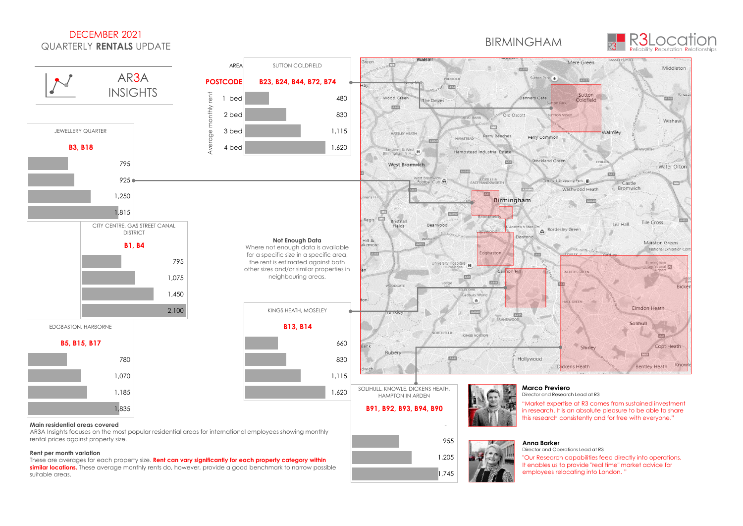## DECEMBER 2021 QUARTERLY **RENTALS** UPDATE

## BIRMINGHAM



 $\overline{\mathbf{x}}$ ing

EKLE



**Rent per month variation** These are averages for each property size. **Rent can vary significantly for each property category within** 

**similar locations.** These average monthly rents do, however, provide a good benchmark to narrow possible suitable areas.

 1,745 955 - Paul Barnett, amerikansk politiker († 1955) 1,205 in research. It is an absolute pleasure to be able to share



#### **Anna Barker**

Director and Operations Lead at R3 "Our Research capabilities feed directly into operations. It enables us to provide "real time" market advice for employees relocating into London. "